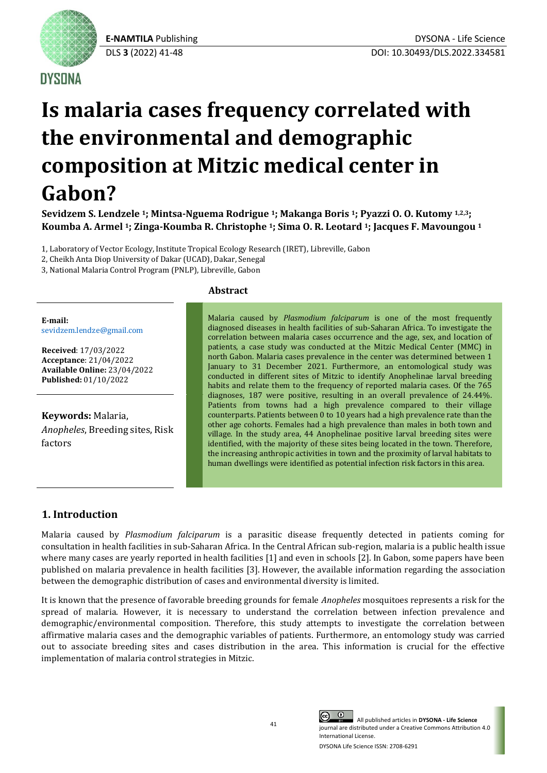

# **Is malaria cases frequency correlated with the environmental and demographic composition at Mitzic medical center in Gabon?**

**Sevidzem S. Lendzele <sup>1</sup>; Mintsa-Nguema Rodrigue <sup>1</sup>; Makanga Boris <sup>1</sup>; Pyazzi O. O. Kutomy 1,2,3; Koumba A. Armel <sup>1</sup>; Zinga-Koumba R. Christophe <sup>1</sup>; Sima O. R. Leotard <sup>1</sup>; Jacques F. Mavoungou <sup>1</sup>**

1, Laboratory of Vector Ecology, Institute Tropical Ecology Research (IRET), Libreville, Gabon

2, Cheikh Anta Diop University of Dakar (UCAD), Dakar, Senegal

3, National Malaria Control Program (PNLP), Libreville, Gabon

# **Abstract**

**E-mail:** [sevidzem.lendze@gmail.com](mailto:sevidzem.lendze@gmail.com)

**Received**: 17/03/2022 **Acceptance**: 21/04/2022 **Available Online:** 23/04/2022 **Published:** 01/10/2022

**Keywords:** Malaria, *Anopheles*, Breeding sites, Risk factors

Malaria caused by *Plasmodium falciparum* is one of the most frequently diagnosed diseases in health facilities of sub-Saharan Africa. To investigate the correlation between malaria cases occurrence and the age, sex, and location of patients, a case study was conducted at the Mitzic Medical Center (MMC) in north Gabon. Malaria cases prevalence in the center was determined between 1 January to 31 December 2021. Furthermore, an entomological study was conducted in different sites of Mitzic to identify Anophelinae larval breeding habits and relate them to the frequency of reported malaria cases. Of the 765 diagnoses, 187 were positive, resulting in an overall prevalence of 24.44%. Patients from towns had a high prevalence compared to their village counterparts. Patients between 0 to 10 years had a high prevalence rate than the other age cohorts. Females had a high prevalence than males in both town and village. In the study area, 44 Anophelinae positive larval breeding sites were identified, with the majority of these sites being located in the town. Therefore, the increasing anthropic activities in town and the proximity of larval habitats to human dwellings were identified as potential infection risk factors in this area.

# **1. Introduction**

Malaria caused by *Plasmodium falciparum* is a parasitic disease frequently detected in patients coming for consultation in health facilities in sub-Saharan Africa. In the Central African sub-region, malaria is a public health issue where many cases are yearly reported in health facilities [1] and even in schools [2]. In Gabon, some papers have been published on malaria prevalence in health facilities [3]. However, the available information regarding the association between the demographic distribution of cases and environmental diversity is limited.

It is known that the presence of favorable breeding grounds for female *Anopheles* mosquitoes represents a risk for the spread of malaria. However, it is necessary to understand the correlation between infection prevalence and demographic/environmental composition. Therefore, this study attempts to investigate the correlation between affirmative malaria cases and the demographic variables of patients. Furthermore, an entomology study was carried out to associate breeding sites and cases distribution in the area. This information is crucial for the effective implementation of malaria control strategies in Mitzic.

41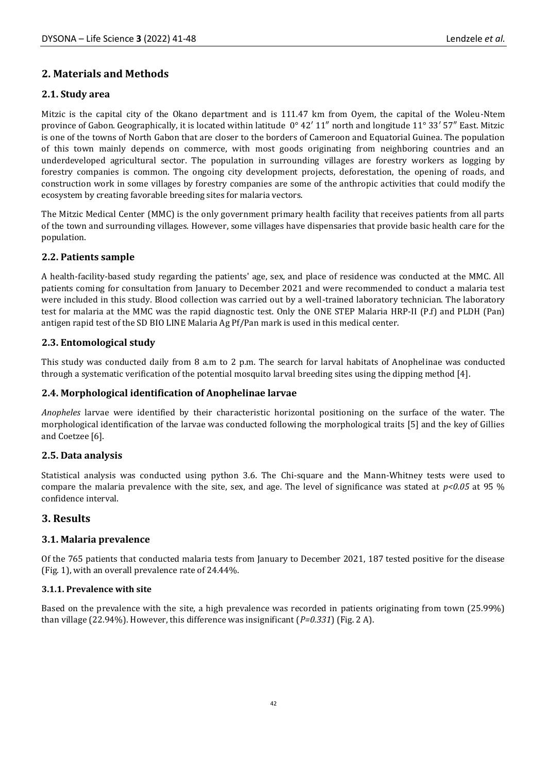## **2. Materials and Methods**

#### **2.1. Study area**

Mitzic is the capital city of the Okano department and is 111.47 km from Oyem, the capital of the Woleu-Ntem province of Gabon. Geographically, it is located within latitude  $0^{\circ}$  42' 11" north and longitude 11° 33' 57" East. Mitzic is one of the towns of North Gabon that are closer to the borders of Cameroon and Equatorial Guinea. The population of this town mainly depends on commerce, with most goods originating from neighboring countries and an underdeveloped agricultural sector. The population in surrounding villages are forestry workers as logging by forestry companies is common. The ongoing city development projects, deforestation, the opening of roads, and construction work in some villages by forestry companies are some of the anthropic activities that could modify the ecosystem by creating favorable breeding sites for malaria vectors.

The Mitzic Medical Center (MMC) is the only government primary health facility that receives patients from all parts of the town and surrounding villages. However, some villages have dispensaries that provide basic health care for the population.

#### **2.2. Patients sample**

A health-facility-based study regarding the patients' age, sex, and place of residence was conducted at the MMC. All patients coming for consultation from January to December 2021 and were recommended to conduct a malaria test were included in this study. Blood collection was carried out by a well-trained laboratory technician. The laboratory test for malaria at the MMC was the rapid diagnostic test. Only the ONE STEP Malaria HRP-II (P.f) and PLDH (Pan) antigen rapid test of the SD BIO LINE Malaria Ag Pf/Pan mark is used in this medical center.

### **2.3. Entomological study**

This study was conducted daily from 8 a.m to 2 p.m. The search for larval habitats of Anophelinae was conducted through a systematic verification of the potential mosquito larval breeding sites using the dipping method [4].

#### **2.4. Morphological identification of Anophelinae larvae**

*Anopheles* larvae were identified by their characteristic horizontal positioning on the surface of the water. The morphological identification of the larvae was conducted following the morphological traits [5] and the key of Gillies and Coetzee [6].

#### **2.5. Data analysis**

Statistical analysis was conducted using python 3.6. The Chi-square and the Mann-Whitney tests were used to compare the malaria prevalence with the site, sex, and age. The level of significance was stated at  $p<0.05$  at 95 % confidence interval.

#### **3. Results**

#### **3.1. Malaria prevalence**

Of the 765 patients that conducted malaria tests from January to December 2021, 187 tested positive for the disease (Fig. 1), with an overall prevalence rate of 24.44%.

#### **3.1.1. Prevalence with site**

Based on the prevalence with the site, a high prevalence was recorded in patients originating from town (25.99%) than village (22.94%). However, this difference was insignificant (*P=0.331*) (Fig. 2 A).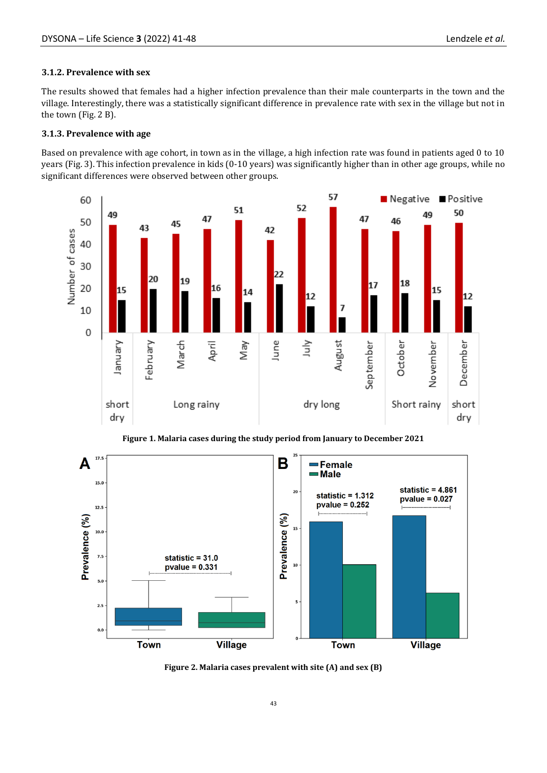#### **3.1.2. Prevalence with sex**

The results showed that females had a higher infection prevalence than their male counterparts in the town and the village. Interestingly, there was a statistically significant difference in prevalence rate with sex in the village but not in the town (Fig. 2 B).

#### **3.1.3. Prevalence with age**

Based on prevalence with age cohort, in town as in the village, a high infection rate was found in patients aged 0 to 10 years (Fig. 3). This infection prevalence in kids (0-10 years) was significantly higher than in other age groups, while no significant differences were observed between other groups.



**Figure 1. Malaria cases during the study period from January to December 2021**



**Figure 2. Malaria cases prevalent with site (A) and sex (B)**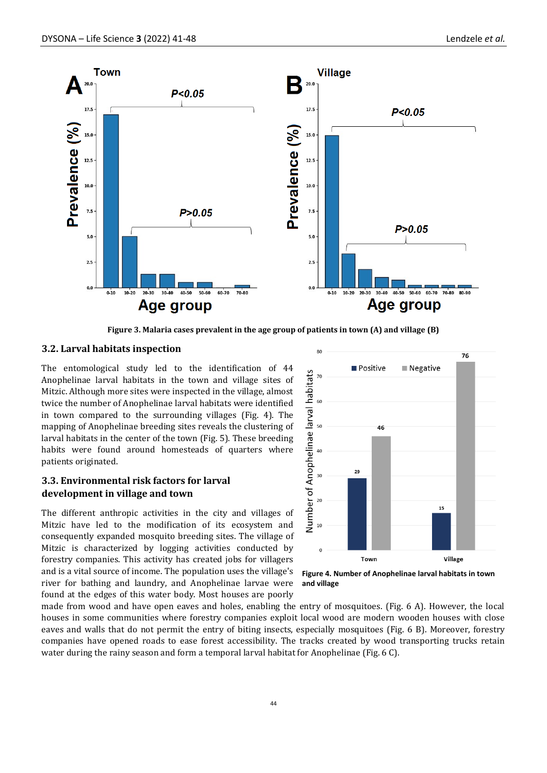

**Figure 3. Malaria cases prevalent in the age group of patients in town (A) and village (B)**

#### **3.2. Larval habitats inspection**

The entomological study led to the identification of 44 Anophelinae larval habitats in the town and village sites of Mitzic. Although more sites were inspected in the village, almost twice the number of Anophelinae larval habitats were identified in town compared to the surrounding villages (Fig. 4). The mapping of Anophelinae breeding sites reveals the clustering of larval habitats in the center of the town (Fig. 5). These breeding habits were found around homesteads of quarters where patients originated.

#### **3.3. Environmental risk factors for larval development in village and town**

The different anthropic activities in the city and villages of Mitzic have led to the modification of its ecosystem and consequently expanded mosquito breeding sites. The village of Mitzic is characterized by logging activities conducted by forestry companies. This activity has created jobs for villagers and is a vital source of income. The population uses the village's river for bathing and laundry, and Anophelinae larvae were found at the edges of this water body. Most houses are poorly



**Figure 4. Number of Anophelinae larval habitats in town and village**

made from wood and have open eaves and holes, enabling the entry of mosquitoes. (Fig. 6 A). However, the local houses in some communities where forestry companies exploit local wood are modern wooden houses with close eaves and walls that do not permit the entry of biting insects, especially mosquitoes (Fig. 6 B). Moreover, forestry companies have opened roads to ease forest accessibility. The tracks created by wood transporting trucks retain water during the rainy season and form a temporal larval habitat for Anophelinae (Fig. 6 C).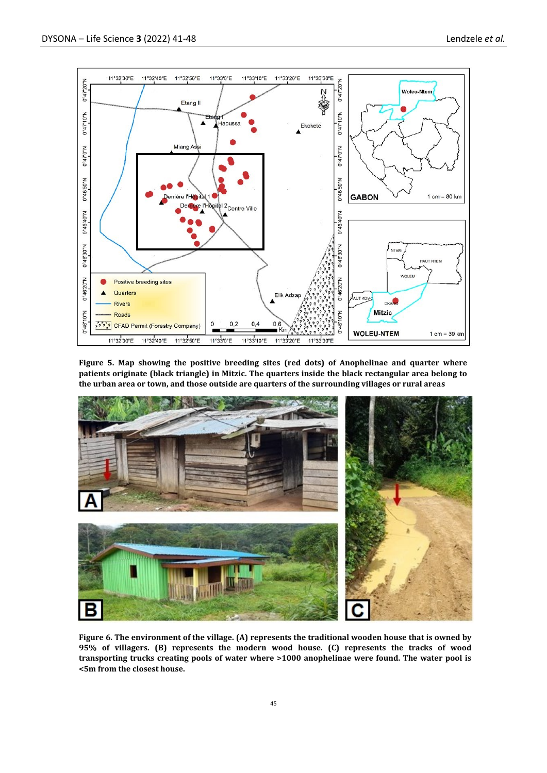

**Figure 5. Map showing the positive breeding sites (red dots) of Anophelinae and quarter where patients originate (black triangle) in Mitzic. The quarters inside the black rectangular area belong to the urban area or town, and those outside are quarters of the surrounding villages or rural areas**



**Figure 6. The environment of the village. (A) represents the traditional wooden house that is owned by 95% of villagers. (B) represents the modern wood house. (C) represents the tracks of wood transporting trucks creating pools of water where >1000 anophelinae were found. The water pool is <5m from the closest house.**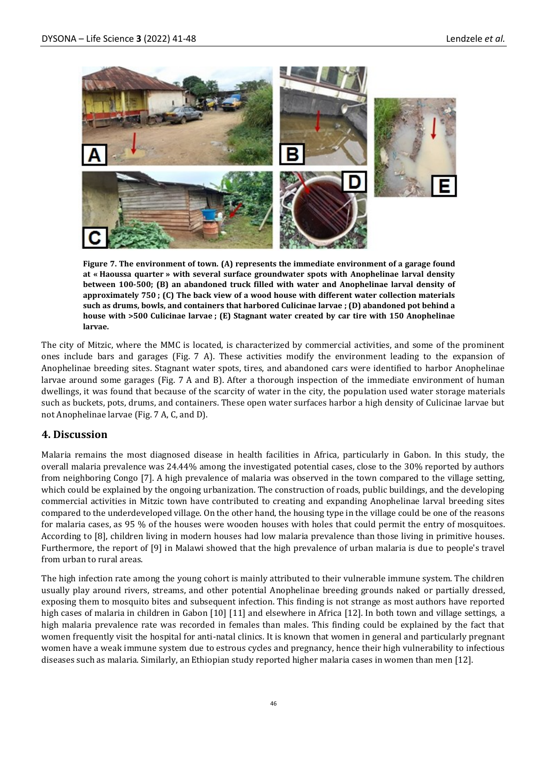

**Figure 7. The environment of town. (A) represents the immediate environment of a garage found at « Haoussa quarter » with several surface groundwater spots with Anophelinae larval density between 100-500; (B) an abandoned truck filled with water and Anophelinae larval density of approximately 750 ; (C) The back view of a wood house with different water collection materials such as drums, bowls, and containers that harbored Culicinae larvae ; (D) abandoned pot behind a house with >500 Culicinae larvae ; (E) Stagnant water created by car tire with 150 Anophelinae larvae.** 

The city of Mitzic, where the MMC is located, is characterized by commercial activities, and some of the prominent ones include bars and garages (Fig. 7 A). These activities modify the environment leading to the expansion of Anophelinae breeding sites. Stagnant water spots, tires, and abandoned cars were identified to harbor Anophelinae larvae around some garages (Fig. 7 A and B). After a thorough inspection of the immediate environment of human dwellings, it was found that because of the scarcity of water in the city, the population used water storage materials such as buckets, pots, drums, and containers. These open water surfaces harbor a high density of Culicinae larvae but not Anophelinae larvae (Fig. 7 A, C, and D).

#### **4. Discussion**

Malaria remains the most diagnosed disease in health facilities in Africa, particularly in Gabon. In this study, the overall malaria prevalence was 24.44% among the investigated potential cases, close to the 30% reported by authors from neighboring Congo [7]. A high prevalence of malaria was observed in the town compared to the village setting, which could be explained by the ongoing urbanization. The construction of roads, public buildings, and the developing commercial activities in Mitzic town have contributed to creating and expanding Anophelinae larval breeding sites compared to the underdeveloped village. On the other hand, the housing type in the village could be one of the reasons for malaria cases, as 95 % of the houses were wooden houses with holes that could permit the entry of mosquitoes. According to [8], children living in modern houses had low malaria prevalence than those living in primitive houses. Furthermore, the report of [9] in Malawi showed that the high prevalence of urban malaria is due to people's travel from urban to rural areas.

The high infection rate among the young cohort is mainly attributed to their vulnerable immune system. The children usually play around rivers, streams, and other potential Anophelinae breeding grounds naked or partially dressed, exposing them to mosquito bites and subsequent infection. This finding is not strange as most authors have reported high cases of malaria in children in Gabon [10] [11] and elsewhere in Africa [12]. In both town and village settings, a high malaria prevalence rate was recorded in females than males. This finding could be explained by the fact that women frequently visit the hospital for anti-natal clinics. It is known that women in general and particularly pregnant women have a weak immune system due to estrous cycles and pregnancy, hence their high vulnerability to infectious diseases such as malaria. Similarly, an Ethiopian study reported higher malaria cases in women than men [12].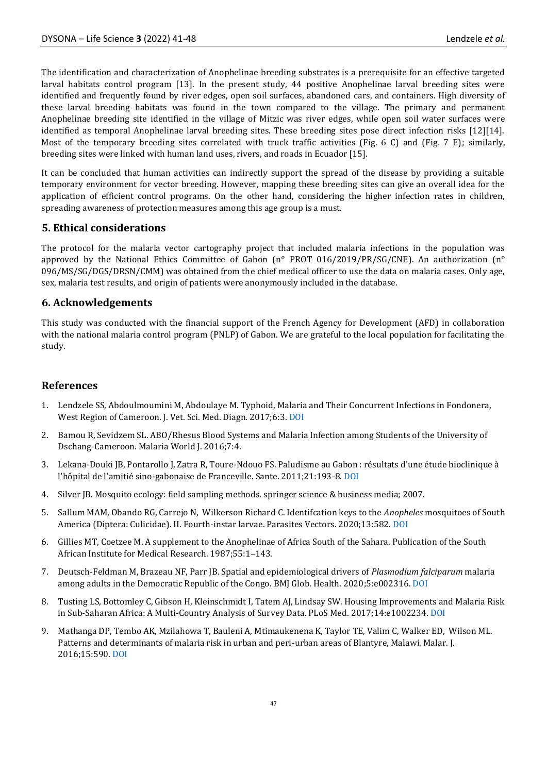The identification and characterization of Anophelinae breeding substrates is a prerequisite for an effective targeted larval habitats control program [13]. In the present study, 44 positive Anophelinae larval breeding sites were identified and frequently found by river edges, open soil surfaces, abandoned cars, and containers. High diversity of these larval breeding habitats was found in the town compared to the village. The primary and permanent Anophelinae breeding site identified in the village of Mitzic was river edges, while open soil water surfaces were identified as temporal Anophelinae larval breeding sites. These breeding sites pose direct infection risks [12][14]. Most of the temporary breeding sites correlated with truck traffic activities (Fig. 6 C) and (Fig. 7 E); similarly, breeding sites were linked with human land uses, rivers, and roads in Ecuador [15].

It can be concluded that human activities can indirectly support the spread of the disease by providing a suitable temporary environment for vector breeding. However, mapping these breeding sites can give an overall idea for the application of efficient control programs. On the other hand, considering the higher infection rates in children, spreading awareness of protection measures among this age group is a must.

### **5. Ethical considerations**

The protocol for the malaria vector cartography project that included malaria infections in the population was approved by the National Ethics Committee of Gabon ( $n^{\circ}$  PROT 016/2019/PR/SG/CNE). An authorization ( $n^{\circ}$ 096/MS/SG/DGS/DRSN/CMM) was obtained from the chief medical officer to use the data on malaria cases. Only age, sex, malaria test results, and origin of patients were anonymously included in the database.

#### **6. Acknowledgements**

This study was conducted with the financial support of the French Agency for Development (AFD) in collaboration with the national malaria control program (PNLP) of Gabon. We are grateful to the local population for facilitating the study.

### **References**

- 1. Lendzele SS, Abdoulmoumini M, Abdoulaye M. Typhoid, Malaria and Their Concurrent Infections in Fondonera, West Region of Cameroon. J. Vet. Sci. Med. Diagn. 2017;6:3. [DOI](http://doi.org/10.4172/2325-9590.1000230)
- 2. Bamou R, Sevidzem SL. ABO/Rhesus Blood Systems and Malaria Infection among Students of the University of Dschang-Cameroon. Malaria World J. 2016;7:4.
- 3. Lekana-Douki JB, Pontarollo J, Zatra R, Toure-Ndouo FS. Paludisme au Gabon : résultats d'une étude bioclinique à l'hôpital de l'amitié sino-gabonaise de Franceville. Sante. 2011;21:193-8[. DOI](http://doi.org/10.1684/san.2011.0263)
- 4. Silver JB. Mosquito ecology: field sampling methods. springer science & business media; 2007.
- 5. Sallum MAM, Obando RG, Carrejo N, Wilkerson Richard C. Identifcation keys to the *Anopheles* mosquitoes of South America (Diptera: Culicidae). II. Fourth-instar larvae. Parasites Vectors. 2020;13:582. [DOI](https://doi.org/10.1186/s13071-020-04299-5)
- 6. Gillies MT, Coetzee M. A supplement to the Anophelinae of Africa South of the Sahara. Publication of the South African Institute for Medical Research. 1987;55:1–143.
- 7. Deutsch-Feldman M, Brazeau NF, Parr JB. Spatial and epidemiological drivers of *Plasmodium falciparum* malaria among adults in the Democratic Republic of the Congo. BMJ Glob. Health. 2020;5:e002316[. DOI](http://dx.doi.org/10.1136/bmjgh-2020-002316)
- 8. Tusting LS, Bottomley C, Gibson H, Kleinschmidt I, Tatem AJ, Lindsay SW. Housing Improvements and Malaria Risk in Sub-Saharan Africa: A Multi-Country Analysis of Survey Data. PLoS Med. 2017;14:e1002234[. DOI](https://doi.org/10.1371/journal.pmed.1002234)
- 9. Mathanga DP, Tembo AK, Mzilahowa T, Bauleni A, Mtimaukenena K, Taylor TE, Valim C, Walker ED, Wilson ML. Patterns and determinants of malaria risk in urban and peri-urban areas of Blantyre, Malawi. Malar. J. 2016;15:590[. DOI](https://doi.org/10.1186/s12936-016-1623-9)